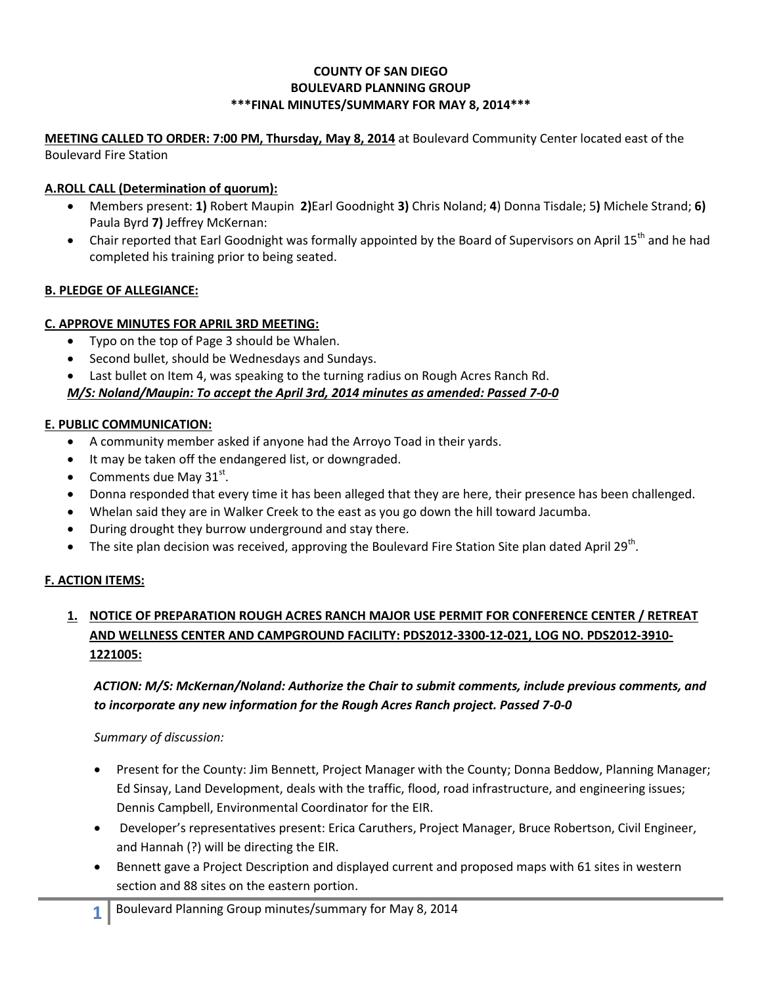### **COUNTY OF SAN DIEGO BOULEVARD PLANNING GROUP \*\*\*FINAL MINUTES/SUMMARY FOR MAY 8, 2014\*\*\***

#### **MEETING CALLED TO ORDER: 7:00 PM, Thursday, May 8, 2014** at Boulevard Community Center located east of the Boulevard Fire Station

### **A.ROLL CALL (Determination of quorum):**

- Members present: **1)** Robert Maupin **2)**Earl Goodnight **3)** Chris Noland; **4**) Donna Tisdale; 5**)** Michele Strand; **6)** Paula Byrd **7)** Jeffrey McKernan:
- Chair reported that Earl Goodnight was formally appointed by the Board of Supervisors on April 15<sup>th</sup> and he had completed his training prior to being seated.

### **B. PLEDGE OF ALLEGIANCE:**

### **C. APPROVE MINUTES FOR APRIL 3RD MEETING:**

- Typo on the top of Page 3 should be Whalen.
- Second bullet, should be Wednesdays and Sundays.
- Last bullet on Item 4, was speaking to the turning radius on Rough Acres Ranch Rd.

### *M/S: Noland/Maupin: To accept the April 3rd, 2014 minutes as amended: Passed 7-0-0*

### **E. PUBLIC COMMUNICATION:**

- A community member asked if anyone had the Arroyo Toad in their yards.
- It may be taken off the endangered list, or downgraded.
- Comments due May  $31^{st}$ .
- Donna responded that every time it has been alleged that they are here, their presence has been challenged.
- Whelan said they are in Walker Creek to the east as you go down the hill toward Jacumba.
- During drought they burrow underground and stay there.
- $\bullet$  The site plan decision was received, approving the Boulevard Fire Station Site plan dated April 29<sup>th</sup>.

### **F. ACTION ITEMS:**

# **1. NOTICE OF PREPARATION ROUGH ACRES RANCH MAJOR USE PERMIT FOR CONFERENCE CENTER / RETREAT AND WELLNESS CENTER AND CAMPGROUND FACILITY: PDS2012-3300-12-021, LOG NO. PDS2012-3910- 1221005:**

# *ACTION: M/S: McKernan/Noland: Authorize the Chair to submit comments, include previous comments, and to incorporate any new information for the Rough Acres Ranch project. Passed 7-0-0*

### *Summary of discussion:*

- Present for the County: Jim Bennett, Project Manager with the County; Donna Beddow, Planning Manager; Ed Sinsay, Land Development, deals with the traffic, flood, road infrastructure, and engineering issues; Dennis Campbell, Environmental Coordinator for the EIR.
- Developer's representatives present: Erica Caruthers, Project Manager, Bruce Robertson, Civil Engineer, and Hannah (?) will be directing the EIR.
- Bennett gave a Project Description and displayed current and proposed maps with 61 sites in western section and 88 sites on the eastern portion.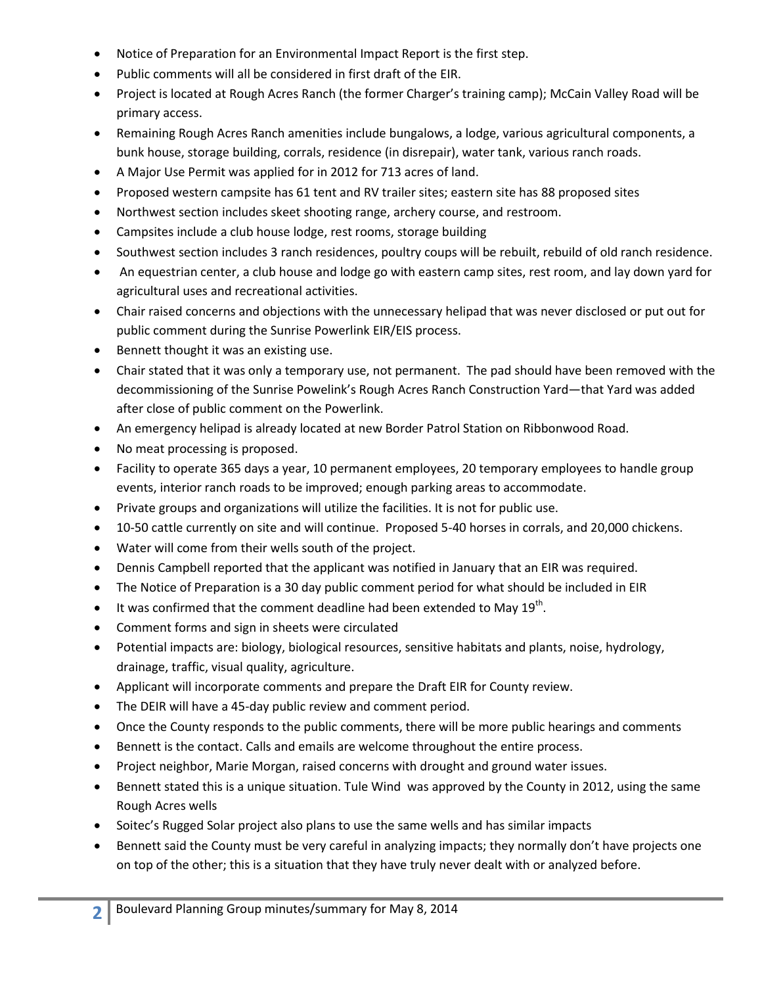- Notice of Preparation for an Environmental Impact Report is the first step.
- Public comments will all be considered in first draft of the EIR.
- Project is located at Rough Acres Ranch (the former Charger's training camp); McCain Valley Road will be primary access.
- Remaining Rough Acres Ranch amenities include bungalows, a lodge, various agricultural components, a bunk house, storage building, corrals, residence (in disrepair), water tank, various ranch roads.
- A Major Use Permit was applied for in 2012 for 713 acres of land.
- Proposed western campsite has 61 tent and RV trailer sites; eastern site has 88 proposed sites
- Northwest section includes skeet shooting range, archery course, and restroom.
- Campsites include a club house lodge, rest rooms, storage building
- Southwest section includes 3 ranch residences, poultry coups will be rebuilt, rebuild of old ranch residence.
- An equestrian center, a club house and lodge go with eastern camp sites, rest room, and lay down yard for agricultural uses and recreational activities.
- Chair raised concerns and objections with the unnecessary helipad that was never disclosed or put out for public comment during the Sunrise Powerlink EIR/EIS process.
- Bennett thought it was an existing use.
- Chair stated that it was only a temporary use, not permanent. The pad should have been removed with the decommissioning of the Sunrise Powelink's Rough Acres Ranch Construction Yard—that Yard was added after close of public comment on the Powerlink.
- An emergency helipad is already located at new Border Patrol Station on Ribbonwood Road.
- No meat processing is proposed.
- Facility to operate 365 days a year, 10 permanent employees, 20 temporary employees to handle group events, interior ranch roads to be improved; enough parking areas to accommodate.
- Private groups and organizations will utilize the facilities. It is not for public use.
- 10-50 cattle currently on site and will continue. Proposed 5-40 horses in corrals, and 20,000 chickens.
- Water will come from their wells south of the project.
- Dennis Campbell reported that the applicant was notified in January that an EIR was required.
- The Notice of Preparation is a 30 day public comment period for what should be included in EIR
- $\bullet$  It was confirmed that the comment deadline had been extended to May 19<sup>th</sup>.
- Comment forms and sign in sheets were circulated
- Potential impacts are: biology, biological resources, sensitive habitats and plants, noise, hydrology, drainage, traffic, visual quality, agriculture.
- Applicant will incorporate comments and prepare the Draft EIR for County review.
- The DEIR will have a 45-day public review and comment period.
- Once the County responds to the public comments, there will be more public hearings and comments
- Bennett is the contact. Calls and emails are welcome throughout the entire process.
- Project neighbor, Marie Morgan, raised concerns with drought and ground water issues.
- Bennett stated this is a unique situation. Tule Wind was approved by the County in 2012, using the same Rough Acres wells
- Soitec's Rugged Solar project also plans to use the same wells and has similar impacts
- Bennett said the County must be very careful in analyzing impacts; they normally don't have projects one on top of the other; this is a situation that they have truly never dealt with or analyzed before.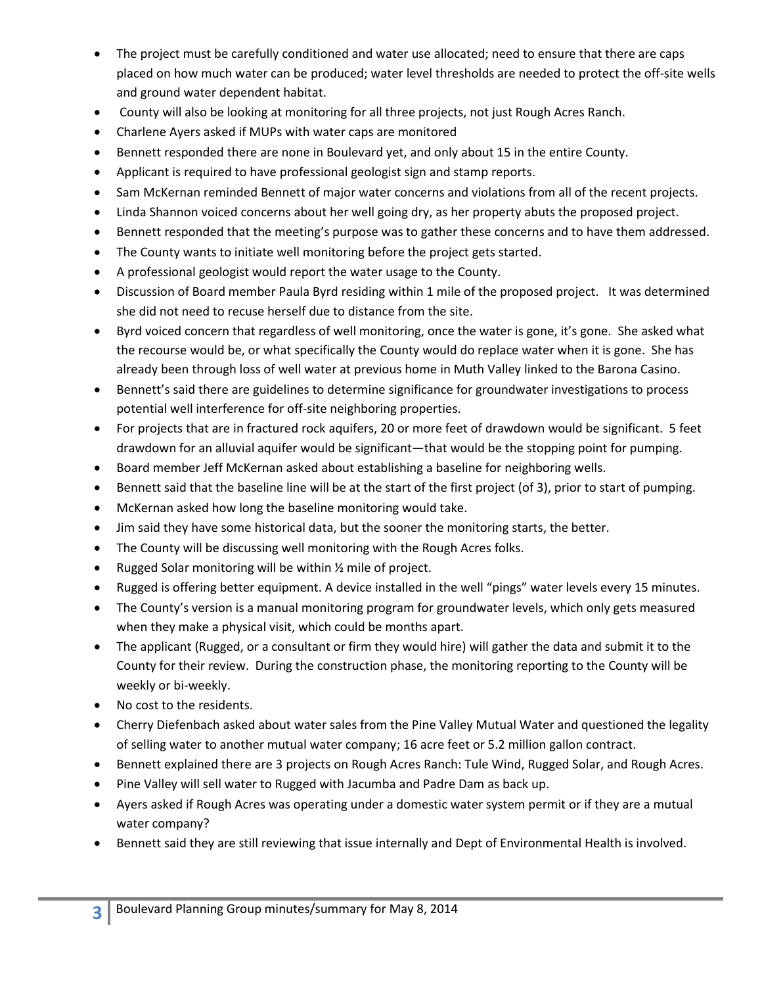- The project must be carefully conditioned and water use allocated; need to ensure that there are caps placed on how much water can be produced; water level thresholds are needed to protect the off-site wells and ground water dependent habitat.
- County will also be looking at monitoring for all three projects, not just Rough Acres Ranch.
- Charlene Ayers asked if MUPs with water caps are monitored
- Bennett responded there are none in Boulevard yet, and only about 15 in the entire County.
- Applicant is required to have professional geologist sign and stamp reports.
- Sam McKernan reminded Bennett of major water concerns and violations from all of the recent projects.
- Linda Shannon voiced concerns about her well going dry, as her property abuts the proposed project.
- Bennett responded that the meeting's purpose was to gather these concerns and to have them addressed.
- The County wants to initiate well monitoring before the project gets started.
- A professional geologist would report the water usage to the County.
- Discussion of Board member Paula Byrd residing within 1 mile of the proposed project. It was determined she did not need to recuse herself due to distance from the site.
- Byrd voiced concern that regardless of well monitoring, once the water is gone, it's gone. She asked what the recourse would be, or what specifically the County would do replace water when it is gone. She has already been through loss of well water at previous home in Muth Valley linked to the Barona Casino.
- Bennett's said there are guidelines to determine significance for groundwater investigations to process potential well interference for off-site neighboring properties.
- For projects that are in fractured rock aquifers, 20 or more feet of drawdown would be significant. 5 feet drawdown for an alluvial aquifer would be significant—that would be the stopping point for pumping.
- Board member Jeff McKernan asked about establishing a baseline for neighboring wells.
- Bennett said that the baseline line will be at the start of the first project (of 3), prior to start of pumping.
- McKernan asked how long the baseline monitoring would take.
- Jim said they have some historical data, but the sooner the monitoring starts, the better.
- The County will be discussing well monitoring with the Rough Acres folks.
- Rugged Solar monitoring will be within ½ mile of project.
- Rugged is offering better equipment. A device installed in the well "pings" water levels every 15 minutes.
- The County's version is a manual monitoring program for groundwater levels, which only gets measured when they make a physical visit, which could be months apart.
- The applicant (Rugged, or a consultant or firm they would hire) will gather the data and submit it to the County for their review. During the construction phase, the monitoring reporting to the County will be weekly or bi-weekly.
- No cost to the residents.
- Cherry Diefenbach asked about water sales from the Pine Valley Mutual Water and questioned the legality of selling water to another mutual water company; 16 acre feet or 5.2 million gallon contract.
- **Bennett explained there are 3 projects on Rough Acres Ranch: Tule Wind, Rugged Solar, and Rough Acres.**
- Pine Valley will sell water to Rugged with Jacumba and Padre Dam as back up.
- Ayers asked if Rough Acres was operating under a domestic water system permit or if they are a mutual water company?
- Bennett said they are still reviewing that issue internally and Dept of Environmental Health is involved.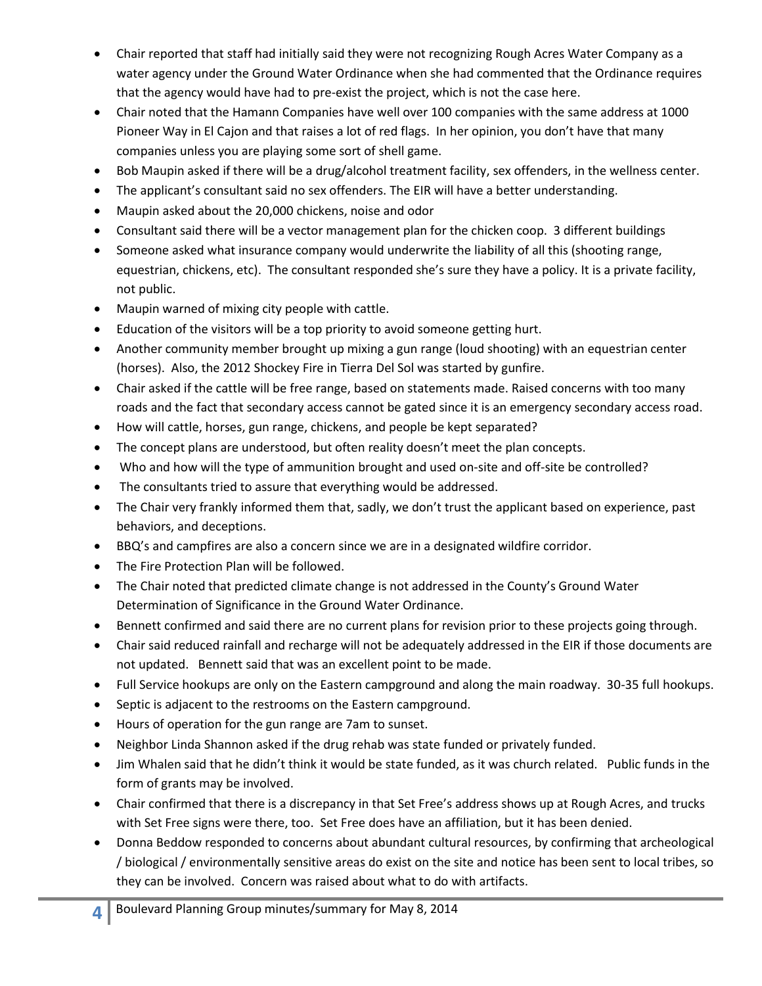- Chair reported that staff had initially said they were not recognizing Rough Acres Water Company as a water agency under the Ground Water Ordinance when she had commented that the Ordinance requires that the agency would have had to pre-exist the project, which is not the case here.
- Chair noted that the Hamann Companies have well over 100 companies with the same address at 1000 Pioneer Way in El Cajon and that raises a lot of red flags. In her opinion, you don't have that many companies unless you are playing some sort of shell game.
- Bob Maupin asked if there will be a drug/alcohol treatment facility, sex offenders, in the wellness center.
- The applicant's consultant said no sex offenders. The EIR will have a better understanding.
- Maupin asked about the 20,000 chickens, noise and odor
- Consultant said there will be a vector management plan for the chicken coop. 3 different buildings
- Someone asked what insurance company would underwrite the liability of all this (shooting range, equestrian, chickens, etc). The consultant responded she's sure they have a policy. It is a private facility, not public.
- Maupin warned of mixing city people with cattle.
- Education of the visitors will be a top priority to avoid someone getting hurt.
- Another community member brought up mixing a gun range (loud shooting) with an equestrian center (horses). Also, the 2012 Shockey Fire in Tierra Del Sol was started by gunfire.
- Chair asked if the cattle will be free range, based on statements made. Raised concerns with too many roads and the fact that secondary access cannot be gated since it is an emergency secondary access road.
- How will cattle, horses, gun range, chickens, and people be kept separated?
- The concept plans are understood, but often reality doesn't meet the plan concepts.
- Who and how will the type of ammunition brought and used on-site and off-site be controlled?
- The consultants tried to assure that everything would be addressed.
- The Chair very frankly informed them that, sadly, we don't trust the applicant based on experience, past behaviors, and deceptions.
- BBQ's and campfires are also a concern since we are in a designated wildfire corridor.
- The Fire Protection Plan will be followed.
- The Chair noted that predicted climate change is not addressed in the County's Ground Water Determination of Significance in the Ground Water Ordinance.
- Bennett confirmed and said there are no current plans for revision prior to these projects going through.
- Chair said reduced rainfall and recharge will not be adequately addressed in the EIR if those documents are not updated. Bennett said that was an excellent point to be made.
- Full Service hookups are only on the Eastern campground and along the main roadway. 30-35 full hookups.
- Septic is adjacent to the restrooms on the Eastern campground.
- Hours of operation for the gun range are 7am to sunset.
- Neighbor Linda Shannon asked if the drug rehab was state funded or privately funded.
- Jim Whalen said that he didn't think it would be state funded, as it was church related. Public funds in the form of grants may be involved.
- Chair confirmed that there is a discrepancy in that Set Free's address shows up at Rough Acres, and trucks with Set Free signs were there, too. Set Free does have an affiliation, but it has been denied.
- Donna Beddow responded to concerns about abundant cultural resources, by confirming that archeological / biological / environmentally sensitive areas do exist on the site and notice has been sent to local tribes, so they can be involved. Concern was raised about what to do with artifacts.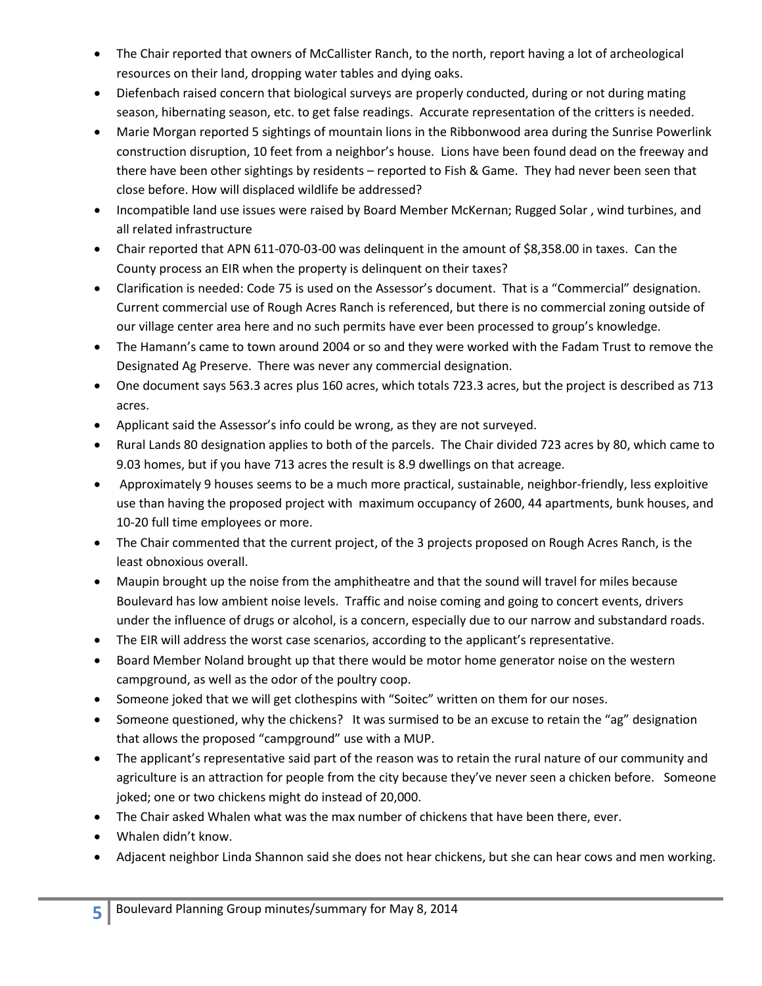- The Chair reported that owners of McCallister Ranch, to the north, report having a lot of archeological resources on their land, dropping water tables and dying oaks.
- Diefenbach raised concern that biological surveys are properly conducted, during or not during mating season, hibernating season, etc. to get false readings. Accurate representation of the critters is needed.
- Marie Morgan reported 5 sightings of mountain lions in the Ribbonwood area during the Sunrise Powerlink construction disruption, 10 feet from a neighbor's house. Lions have been found dead on the freeway and there have been other sightings by residents – reported to Fish & Game. They had never been seen that close before. How will displaced wildlife be addressed?
- Incompatible land use issues were raised by Board Member McKernan; Rugged Solar, wind turbines, and all related infrastructure
- Chair reported that APN 611-070-03-00 was delinguent in the amount of \$8,358.00 in taxes. Can the County process an EIR when the property is delinquent on their taxes?
- Clarification is needed: Code 75 is used on the Assessor's document. That is a "Commercial" designation. Current commercial use of Rough Acres Ranch is referenced, but there is no commercial zoning outside of our village center area here and no such permits have ever been processed to group's knowledge.
- The Hamann's came to town around 2004 or so and they were worked with the Fadam Trust to remove the Designated Ag Preserve. There was never any commercial designation.
- One document says 563.3 acres plus 160 acres, which totals 723.3 acres, but the project is described as 713 acres.
- Applicant said the Assessor's info could be wrong, as they are not surveyed.
- Rural Lands 80 designation applies to both of the parcels. The Chair divided 723 acres by 80, which came to 9.03 homes, but if you have 713 acres the result is 8.9 dwellings on that acreage.
- Approximately 9 houses seems to be a much more practical, sustainable, neighbor-friendly, less exploitive use than having the proposed project with maximum occupancy of 2600, 44 apartments, bunk houses, and 10-20 full time employees or more.
- The Chair commented that the current project, of the 3 projects proposed on Rough Acres Ranch, is the least obnoxious overall.
- Maupin brought up the noise from the amphitheatre and that the sound will travel for miles because Boulevard has low ambient noise levels. Traffic and noise coming and going to concert events, drivers under the influence of drugs or alcohol, is a concern, especially due to our narrow and substandard roads.
- The EIR will address the worst case scenarios, according to the applicant's representative.
- Board Member Noland brought up that there would be motor home generator noise on the western campground, as well as the odor of the poultry coop.
- Someone joked that we will get clothespins with "Soitec" written on them for our noses.
- Someone questioned, why the chickens? It was surmised to be an excuse to retain the "ag" designation that allows the proposed "campground" use with a MUP.
- The applicant's representative said part of the reason was to retain the rural nature of our community and agriculture is an attraction for people from the city because they've never seen a chicken before. Someone joked; one or two chickens might do instead of 20,000.
- The Chair asked Whalen what was the max number of chickens that have been there, ever.
- Whalen didn't know.
- Adjacent neighbor Linda Shannon said she does not hear chickens, but she can hear cows and men working.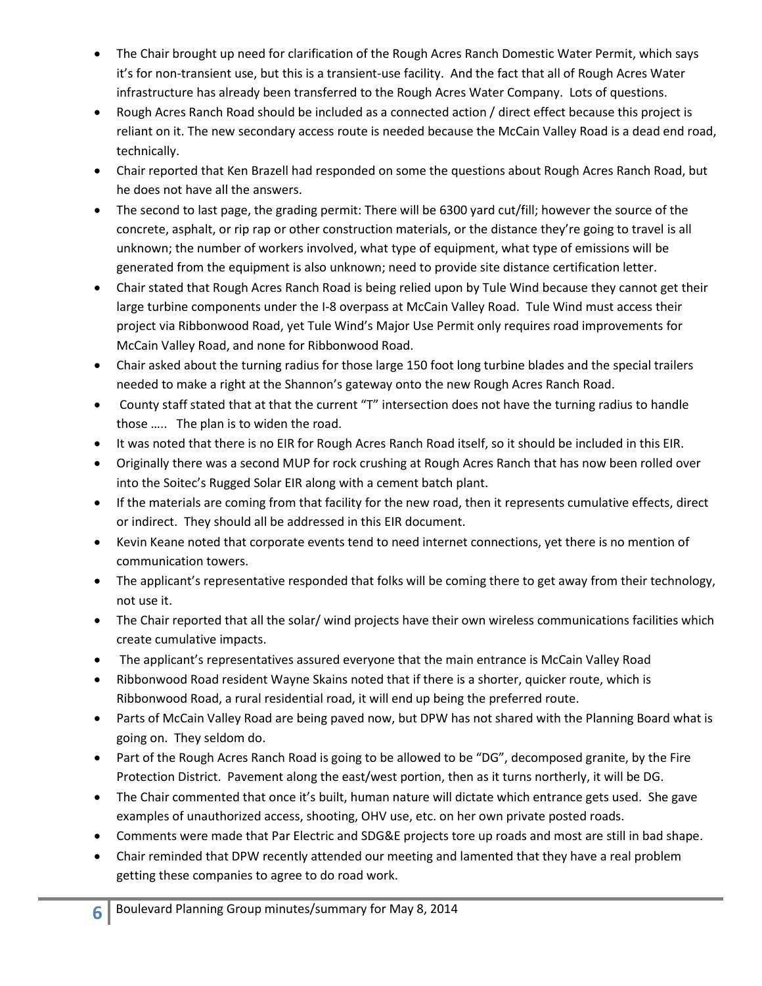- The Chair brought up need for clarification of the Rough Acres Ranch Domestic Water Permit, which says it's for non-transient use, but this is a transient-use facility. And the fact that all of Rough Acres Water infrastructure has already been transferred to the Rough Acres Water Company. Lots of questions.
- Rough Acres Ranch Road should be included as a connected action / direct effect because this project is reliant on it. The new secondary access route is needed because the McCain Valley Road is a dead end road, technically.
- Chair reported that Ken Brazell had responded on some the questions about Rough Acres Ranch Road, but he does not have all the answers.
- The second to last page, the grading permit: There will be 6300 yard cut/fill; however the source of the concrete, asphalt, or rip rap or other construction materials, or the distance they're going to travel is all unknown; the number of workers involved, what type of equipment, what type of emissions will be generated from the equipment is also unknown; need to provide site distance certification letter.
- Chair stated that Rough Acres Ranch Road is being relied upon by Tule Wind because they cannot get their large turbine components under the I-8 overpass at McCain Valley Road. Tule Wind must access their project via Ribbonwood Road, yet Tule Wind's Major Use Permit only requires road improvements for McCain Valley Road, and none for Ribbonwood Road.
- Chair asked about the turning radius for those large 150 foot long turbine blades and the special trailers needed to make a right at the Shannon's gateway onto the new Rough Acres Ranch Road.
- County staff stated that at that the current "T" intersection does not have the turning radius to handle those ….. The plan is to widen the road.
- It was noted that there is no EIR for Rough Acres Ranch Road itself, so it should be included in this EIR.
- Originally there was a second MUP for rock crushing at Rough Acres Ranch that has now been rolled over into the Soitec's Rugged Solar EIR along with a cement batch plant.
- If the materials are coming from that facility for the new road, then it represents cumulative effects, direct or indirect. They should all be addressed in this EIR document.
- Kevin Keane noted that corporate events tend to need internet connections, yet there is no mention of communication towers.
- The applicant's representative responded that folks will be coming there to get away from their technology, not use it.
- The Chair reported that all the solar/ wind projects have their own wireless communications facilities which create cumulative impacts.
- The applicant's representatives assured everyone that the main entrance is McCain Valley Road
- Ribbonwood Road resident Wayne Skains noted that if there is a shorter, quicker route, which is Ribbonwood Road, a rural residential road, it will end up being the preferred route.
- Parts of McCain Valley Road are being paved now, but DPW has not shared with the Planning Board what is going on. They seldom do.
- Part of the Rough Acres Ranch Road is going to be allowed to be "DG", decomposed granite, by the Fire Protection District. Pavement along the east/west portion, then as it turns northerly, it will be DG.
- The Chair commented that once it's built, human nature will dictate which entrance gets used. She gave examples of unauthorized access, shooting, OHV use, etc. on her own private posted roads.
- Comments were made that Par Electric and SDG&E projects tore up roads and most are still in bad shape.
- Chair reminded that DPW recently attended our meeting and lamented that they have a real problem getting these companies to agree to do road work.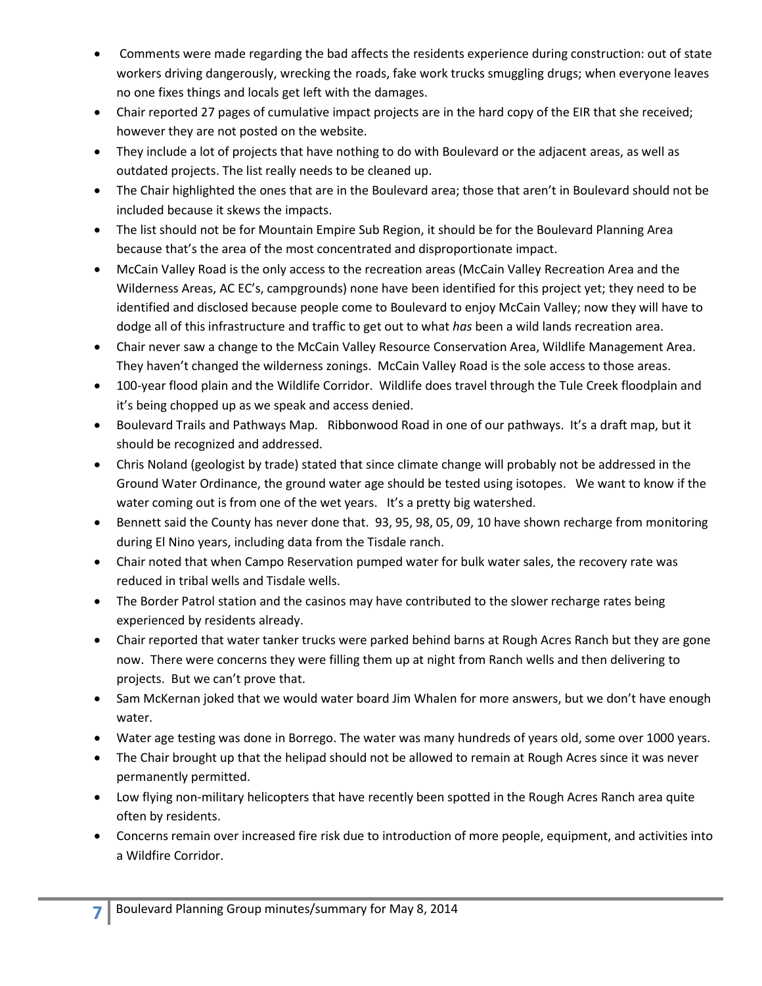- Comments were made regarding the bad affects the residents experience during construction: out of state workers driving dangerously, wrecking the roads, fake work trucks smuggling drugs; when everyone leaves no one fixes things and locals get left with the damages.
- Chair reported 27 pages of cumulative impact projects are in the hard copy of the EIR that she received; however they are not posted on the website.
- They include a lot of projects that have nothing to do with Boulevard or the adjacent areas, as well as outdated projects. The list really needs to be cleaned up.
- The Chair highlighted the ones that are in the Boulevard area; those that aren't in Boulevard should not be included because it skews the impacts.
- The list should not be for Mountain Empire Sub Region, it should be for the Boulevard Planning Area because that's the area of the most concentrated and disproportionate impact.
- McCain Valley Road is the only access to the recreation areas (McCain Valley Recreation Area and the Wilderness Areas, AC EC's, campgrounds) none have been identified for this project yet; they need to be identified and disclosed because people come to Boulevard to enjoy McCain Valley; now they will have to dodge all of this infrastructure and traffic to get out to what *has* been a wild lands recreation area.
- Chair never saw a change to the McCain Valley Resource Conservation Area, Wildlife Management Area. They haven't changed the wilderness zonings. McCain Valley Road is the sole access to those areas.
- 100-year flood plain and the Wildlife Corridor. Wildlife does travel through the Tule Creek floodplain and it's being chopped up as we speak and access denied.
- Boulevard Trails and Pathways Map. Ribbonwood Road in one of our pathways. It's a draft map, but it should be recognized and addressed.
- Chris Noland (geologist by trade) stated that since climate change will probably not be addressed in the Ground Water Ordinance, the ground water age should be tested using isotopes. We want to know if the water coming out is from one of the wet years. It's a pretty big watershed.
- Bennett said the County has never done that. 93, 95, 98, 05, 09, 10 have shown recharge from monitoring during El Nino years, including data from the Tisdale ranch.
- Chair noted that when Campo Reservation pumped water for bulk water sales, the recovery rate was reduced in tribal wells and Tisdale wells.
- The Border Patrol station and the casinos may have contributed to the slower recharge rates being experienced by residents already.
- Chair reported that water tanker trucks were parked behind barns at Rough Acres Ranch but they are gone now. There were concerns they were filling them up at night from Ranch wells and then delivering to projects. But we can't prove that.
- Sam McKernan joked that we would water board Jim Whalen for more answers, but we don't have enough water.
- Water age testing was done in Borrego. The water was many hundreds of years old, some over 1000 years.
- The Chair brought up that the helipad should not be allowed to remain at Rough Acres since it was never permanently permitted.
- Low flying non-military helicopters that have recently been spotted in the Rough Acres Ranch area quite often by residents.
- Concerns remain over increased fire risk due to introduction of more people, equipment, and activities into a Wildfire Corridor.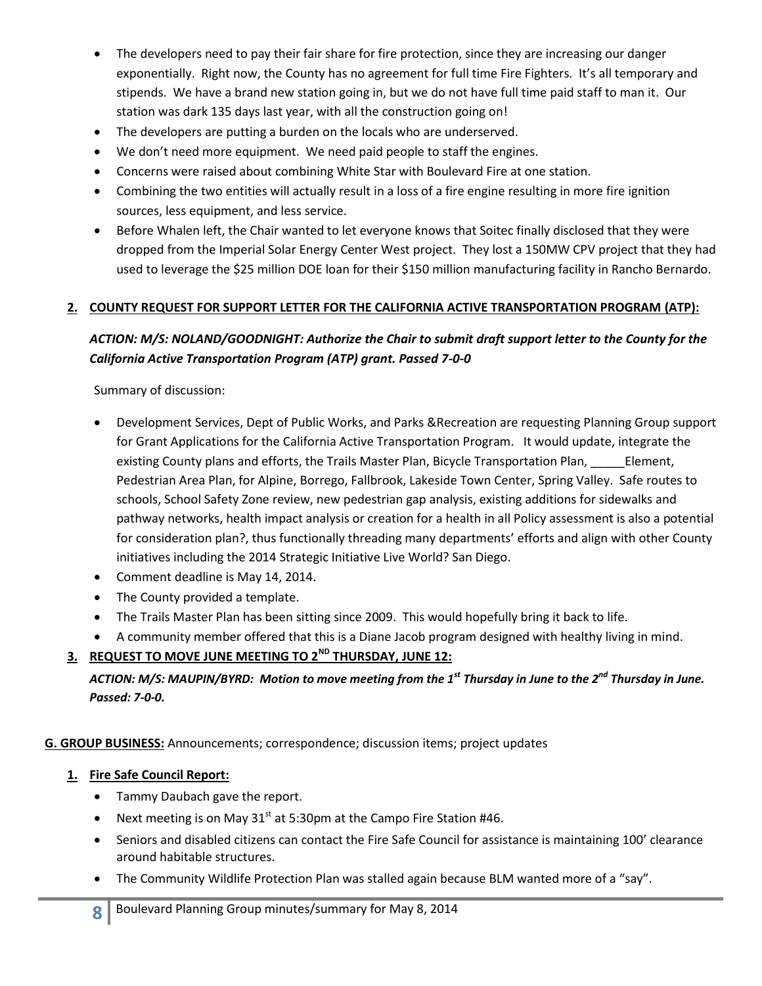- The developers need to pay their fair share for fire protection, since they are increasing our danger exponentially. Right now, the County has no agreement for full time Fire Fighters. It's all temporary and stipends. We have a brand new station going in, but we do not have full time paid staff to man it. Our station was dark 135 days last year, with all the construction going on!
- The developers are putting a burden on the locals who are underserved.
- We don't need more equipment. We need paid people to staff the engines.
- Concerns were raised about combining White Star with Boulevard Fire at one station.
- Combining the two entities will actually result in a loss of a fire engine resulting in more fire ignition sources, less equipment, and less service.
- Before Whalen left, the Chair wanted to let everyone knows that Soitec finally disclosed that they were dropped from the Imperial Solar Energy Center West project. They lost a 150MW CPV project that they had used to leverage the \$25 million DOE loan for their \$150 million manufacturing facility in Rancho Bernardo.

### **2. COUNTY REQUEST FOR SUPPORT LETTER FOR THE CALIFORNIA ACTIVE TRANSPORTATION PROGRAM (ATP):**

# *ACTION: M/S: NOLAND/GOODNIGHT: Authorize the Chair to submit draft support letter to the County for the California Active Transportation Program (ATP) grant. Passed 7-0-0*

Summary of discussion:

- Development Services, Dept of Public Works, and Parks &Recreation are requesting Planning Group support for Grant Applications for the California Active Transportation Program. It would update, integrate the existing County plans and efforts, the Trails Master Plan, Bicycle Transportation Plan, Element, Pedestrian Area Plan, for Alpine, Borrego, Fallbrook, Lakeside Town Center, Spring Valley. Safe routes to schools, School Safety Zone review, new pedestrian gap analysis, existing additions for sidewalks and pathway networks, health impact analysis or creation for a health in all Policy assessment is also a potential for consideration plan?, thus functionally threading many departments' efforts and align with other County initiatives including the 2014 Strategic Initiative Live World? San Diego.
- Comment deadline is May 14, 2014.
- The County provided a template.
- The Trails Master Plan has been sitting since 2009. This would hopefully bring it back to life.
- A community member offered that this is a Diane Jacob program designed with healthy living in mind.

# **3. REQUEST TO MOVE JUNE MEETING TO 2ND THURSDAY, JUNE 12:**

*ACTION: M/S: MAUPIN/BYRD: Motion to move meeting from the 1st Thursday in June to the 2nd Thursday in June. Passed: 7-0-0.*

**G. GROUP BUSINESS:** Announcements; correspondence; discussion items; project updates

### **1. Fire Safe Council Report:**

- Tammy Daubach gave the report.
- Next meeting is on May  $31<sup>st</sup>$  at 5:30pm at the Campo Fire Station #46.
- Seniors and disabled citizens can contact the Fire Safe Council for assistance is maintaining 100' clearance around habitable structures.
- The Community Wildlife Protection Plan was stalled again because BLM wanted more of a "say".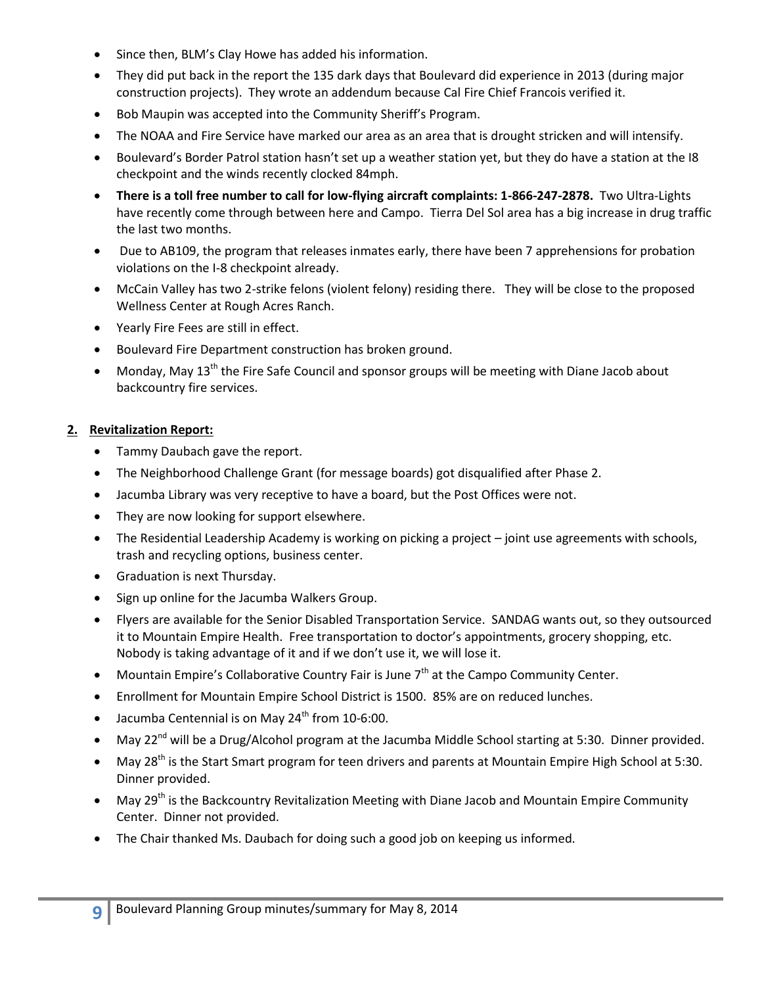- Since then, BLM's Clay Howe has added his information.
- They did put back in the report the 135 dark days that Boulevard did experience in 2013 (during major construction projects). They wrote an addendum because Cal Fire Chief Francois verified it.
- Bob Maupin was accepted into the Community Sheriff's Program.
- The NOAA and Fire Service have marked our area as an area that is drought stricken and will intensify.
- Boulevard's Border Patrol station hasn't set up a weather station yet, but they do have a station at the I8 checkpoint and the winds recently clocked 84mph.
- **There is a toll free number to call for low-flying aircraft complaints: 1-866-247-2878.** Two Ultra-Lights have recently come through between here and Campo. Tierra Del Sol area has a big increase in drug traffic the last two months.
- Due to AB109, the program that releases inmates early, there have been 7 apprehensions for probation violations on the I-8 checkpoint already.
- McCain Valley has two 2-strike felons (violent felony) residing there. They will be close to the proposed Wellness Center at Rough Acres Ranch.
- Yearly Fire Fees are still in effect.
- Boulevard Fire Department construction has broken ground.
- Monday, May 13<sup>th</sup> the Fire Safe Council and sponsor groups will be meeting with Diane Jacob about backcountry fire services.

### **2. Revitalization Report:**

- Tammy Daubach gave the report.
- The Neighborhood Challenge Grant (for message boards) got disqualified after Phase 2.
- Jacumba Library was very receptive to have a board, but the Post Offices were not.
- They are now looking for support elsewhere.
- The Residential Leadership Academy is working on picking a project joint use agreements with schools, trash and recycling options, business center.
- Graduation is next Thursday.
- Sign up online for the Jacumba Walkers Group.
- Flyers are available for the Senior Disabled Transportation Service. SANDAG wants out, so they outsourced it to Mountain Empire Health. Free transportation to doctor's appointments, grocery shopping, etc. Nobody is taking advantage of it and if we don't use it, we will lose it.
- $\bullet$  Mountain Empire's Collaborative Country Fair is June  $7<sup>th</sup>$  at the Campo Community Center.
- Enrollment for Mountain Empire School District is 1500. 85% are on reduced lunches.
- $\bullet$  Jacumba Centennial is on May 24<sup>th</sup> from 10-6:00.
- May 22<sup>nd</sup> will be a Drug/Alcohol program at the Jacumba Middle School starting at 5:30. Dinner provided.
- May 28<sup>th</sup> is the Start Smart program for teen drivers and parents at Mountain Empire High School at 5:30. Dinner provided.
- May 29<sup>th</sup> is the Backcountry Revitalization Meeting with Diane Jacob and Mountain Empire Community Center. Dinner not provided.
- The Chair thanked Ms. Daubach for doing such a good job on keeping us informed.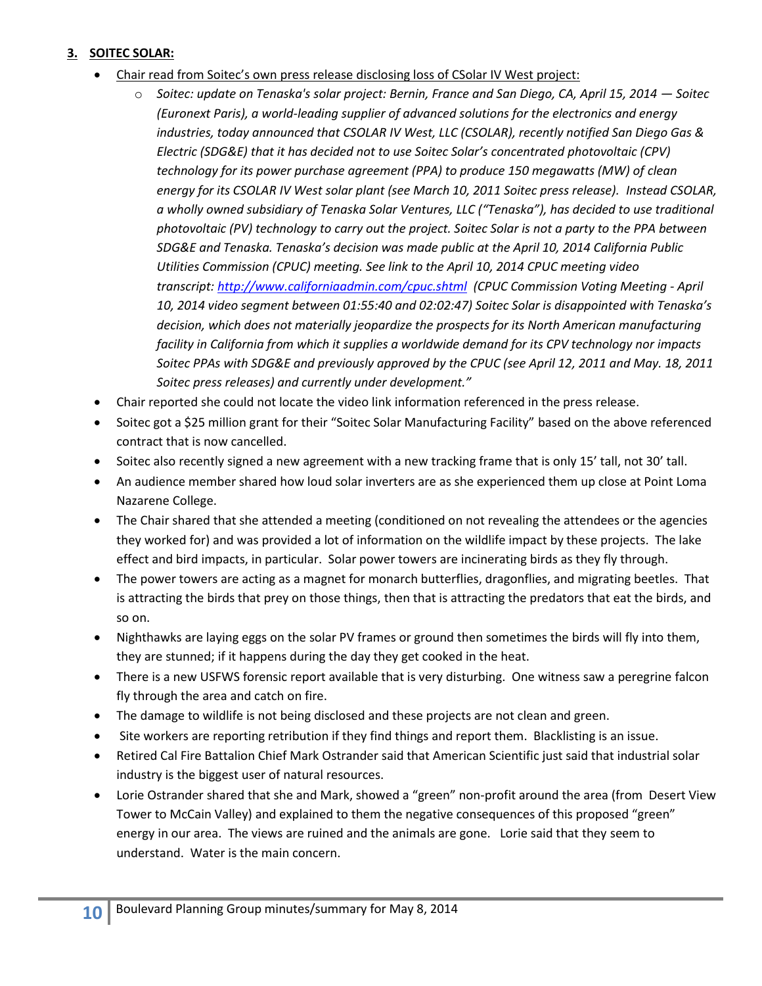### **3. SOITEC SOLAR:**

- Chair read from Soitec's own press release disclosing loss of CSolar IV West project:
	- o *Soitec: update on Tenaska's solar project: Bernin, France and San Diego, CA, April 15, 2014 — Soitec (Euronext Paris), a world-leading supplier of advanced solutions for the electronics and energy industries, today announced that CSOLAR IV West, LLC (CSOLAR), recently notified San Diego Gas & Electric (SDG&E) that it has decided not to use Soitec Solar's concentrated photovoltaic (CPV) technology for its power purchase agreement (PPA) to produce 150 megawatts (MW) of clean energy for its CSOLAR IV West solar plant (see March 10, 2011 Soitec press release). Instead CSOLAR, a wholly owned subsidiary of Tenaska Solar Ventures, LLC ("Tenaska"), has decided to use traditional photovoltaic (PV) technology to carry out the project. Soitec Solar is not a party to the PPA between SDG&E and Tenaska. Tenaska's decision was made public at the April 10, 2014 California Public Utilities Commission (CPUC) meeting. See link to the April 10, 2014 CPUC meeting video transcript: <http://www.californiaadmin.com/cpuc.shtml>(CPUC Commission Voting Meeting - April 10, 2014 video segment between 01:55:40 and 02:02:47) Soitec Solar is disappointed with Tenaska's decision, which does not materially jeopardize the prospects for its North American manufacturing facility in California from which it supplies a worldwide demand for its CPV technology nor impacts Soitec PPAs with SDG&E and previously approved by the CPUC (see April 12, 2011 and May. 18, 2011 Soitec press releases) and currently under development."*
- Chair reported she could not locate the video link information referenced in the press release.
- Soitec got a \$25 million grant for their "Soitec Solar Manufacturing Facility" based on the above referenced contract that is now cancelled.
- Soitec also recently signed a new agreement with a new tracking frame that is only 15' tall, not 30' tall.
- An audience member shared how loud solar inverters are as she experienced them up close at Point Loma Nazarene College.
- The Chair shared that she attended a meeting (conditioned on not revealing the attendees or the agencies they worked for) and was provided a lot of information on the wildlife impact by these projects. The lake effect and bird impacts, in particular. Solar power towers are incinerating birds as they fly through.
- The power towers are acting as a magnet for monarch butterflies, dragonflies, and migrating beetles. That is attracting the birds that prey on those things, then that is attracting the predators that eat the birds, and so on.
- Nighthawks are laying eggs on the solar PV frames or ground then sometimes the birds will fly into them, they are stunned; if it happens during the day they get cooked in the heat.
- There is a new USFWS forensic report available that is very disturbing. One witness saw a peregrine falcon fly through the area and catch on fire.
- The damage to wildlife is not being disclosed and these projects are not clean and green.
- Site workers are reporting retribution if they find things and report them. Blacklisting is an issue.
- Retired Cal Fire Battalion Chief Mark Ostrander said that American Scientific just said that industrial solar industry is the biggest user of natural resources.
- Lorie Ostrander shared that she and Mark, showed a "green" non-profit around the area (from Desert View Tower to McCain Valley) and explained to them the negative consequences of this proposed "green" energy in our area. The views are ruined and the animals are gone. Lorie said that they seem to understand. Water is the main concern.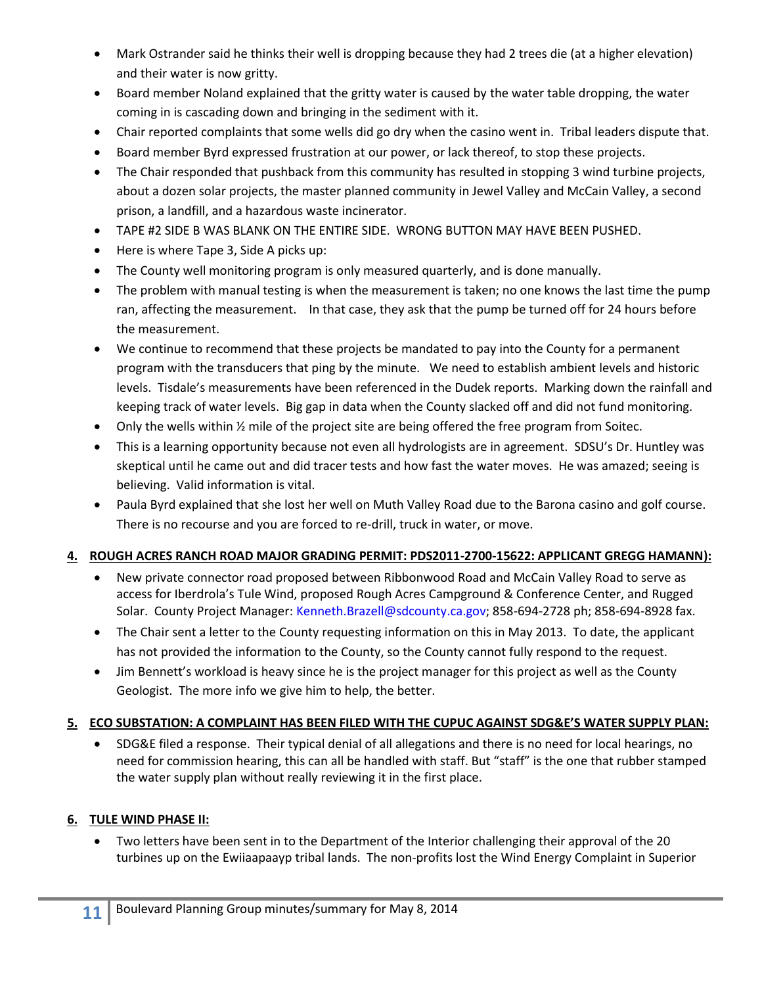- Mark Ostrander said he thinks their well is dropping because they had 2 trees die (at a higher elevation) and their water is now gritty.
- Board member Noland explained that the gritty water is caused by the water table dropping, the water coming in is cascading down and bringing in the sediment with it.
- Chair reported complaints that some wells did go dry when the casino went in. Tribal leaders dispute that.
- Board member Byrd expressed frustration at our power, or lack thereof, to stop these projects.
- The Chair responded that pushback from this community has resulted in stopping 3 wind turbine projects, about a dozen solar projects, the master planned community in Jewel Valley and McCain Valley, a second prison, a landfill, and a hazardous waste incinerator.
- TAPE #2 SIDE B WAS BLANK ON THE ENTIRE SIDE. WRONG BUTTON MAY HAVE BEEN PUSHED.
- Here is where Tape 3, Side A picks up:
- The County well monitoring program is only measured quarterly, and is done manually.
- The problem with manual testing is when the measurement is taken; no one knows the last time the pump ran, affecting the measurement. In that case, they ask that the pump be turned off for 24 hours before the measurement.
- We continue to recommend that these projects be mandated to pay into the County for a permanent program with the transducers that ping by the minute. We need to establish ambient levels and historic levels. Tisdale's measurements have been referenced in the Dudek reports. Marking down the rainfall and keeping track of water levels. Big gap in data when the County slacked off and did not fund monitoring.
- Only the wells within ½ mile of the project site are being offered the free program from Soitec.
- This is a learning opportunity because not even all hydrologists are in agreement. SDSU's Dr. Huntley was skeptical until he came out and did tracer tests and how fast the water moves. He was amazed; seeing is believing. Valid information is vital.
- Paula Byrd explained that she lost her well on Muth Valley Road due to the Barona casino and golf course. There is no recourse and you are forced to re-drill, truck in water, or move.

# **4. ROUGH ACRES RANCH ROAD MAJOR GRADING PERMIT: PDS2011-2700-15622: APPLICANT GREGG HAMANN):**

- New private connector road proposed between Ribbonwood Road and McCain Valley Road to serve as access for Iberdrola's Tule Wind, proposed Rough Acres Campground & Conference Center, and Rugged Solar. County Project Manager: [Kenneth.Brazell@sdcounty.ca.gov;](mailto:Kenneth.Brazell@sdcounty.ca.gov) 858-694-2728 ph; 858-694-8928 fax.
- The Chair sent a letter to the County requesting information on this in May 2013. To date, the applicant has not provided the information to the County, so the County cannot fully respond to the request.
- Jim Bennett's workload is heavy since he is the project manager for this project as well as the County Geologist. The more info we give him to help, the better.

# **5. ECO SUBSTATION: A COMPLAINT HAS BEEN FILED WITH THE CUPUC AGAINST SDG&E'S WATER SUPPLY PLAN:**

 SDG&E filed a response. Their typical denial of all allegations and there is no need for local hearings, no need for commission hearing, this can all be handled with staff. But "staff" is the one that rubber stamped the water supply plan without really reviewing it in the first place.

# **6. TULE WIND PHASE II:**

 Two letters have been sent in to the Department of the Interior challenging their approval of the 20 turbines up on the Ewiiaapaayp tribal lands. The non-profits lost the Wind Energy Complaint in Superior